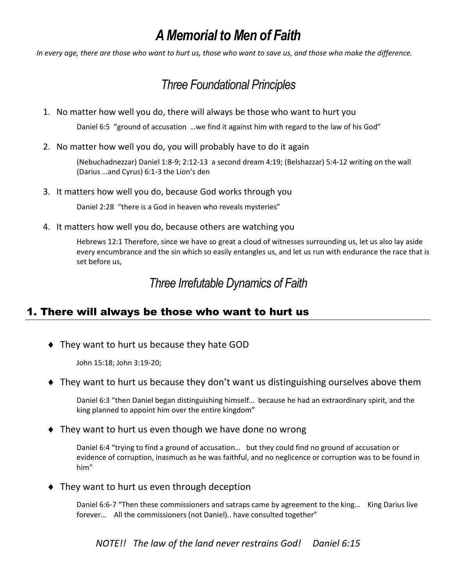# *A Memorial to Men of Faith*

*In every age, there are those who want to hurt us, those who want to save us, and those who make the difference.*

## *Three Foundational Principles*

1. No matter how well you do, there will always be those who want to hurt you

Daniel 6:5 "ground of accusation …we find it against him with regard to the law of his God"

2. No matter how well you do, you will probably have to do it again

(Nebuchadnezzar) Daniel 1:8-9; 2:12-13 a second dream 4:19; (Belshazzar) 5:4-12 writing on the wall (Darius …and Cyrus) 6:1-3 the Lion's den

3. It matters how well you do, because God works through you

Daniel 2:28 "there is a God in heaven who reveals mysteries"

4. It matters how well you do, because others are watching you

Hebrews 12:1 Therefore, since we have so great a cloud of witnesses surrounding us, let us also lay aside every encumbrance and the sin which so easily entangles us, and let us run with endurance the race that is set before us,

### *Three Irrefutable Dynamics of Faith*

#### 1. There will always be those who want to hurt us

They want to hurt us because they hate GOD

John 15:18; John 3:19-20;

They want to hurt us because they don't want us distinguishing ourselves above them

Daniel 6:3 "then Daniel began distinguishing himself… because he had an extraordinary spirit, and the king planned to appoint him over the entire kingdom"

◆ They want to hurt us even though we have done no wrong

Daniel 6:4 "trying to find a ground of accusation… but they could find no ground of accusation or evidence of corruption, inasmuch as he was faithful, and no neglicence or corruption was to be found in him"

◆ They want to hurt us even through deception

Daniel 6:6-7 "Then these commissioners and satraps came by agreement to the king… King Darius live forever… All the commissioners (not Daniel).. have consulted together"